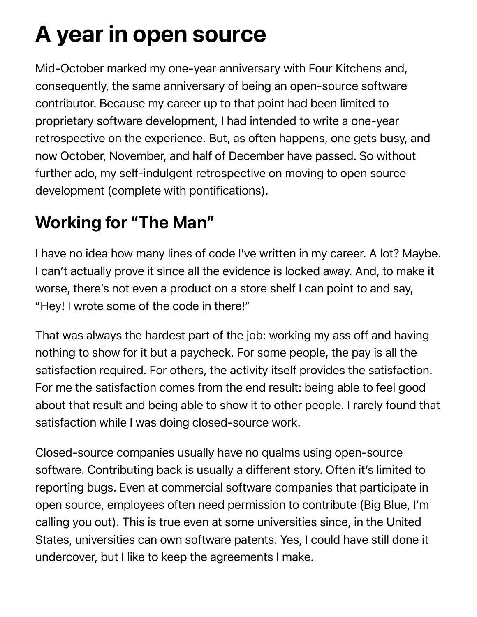# A year in open source

Mid-October marked my one-year anniversary with Four Kitchens and, consequently, the same anniversary of being an open-source software contributor. Because my career up to that point had been limited to proprietary software development, I had intended to write a one-year retrospective on the experience. But, as often happens, one gets busy, and now October, November, and half of December have passed. So without further ado, my self-indulgent retrospective on moving to open source development (complete with pontifications).

## Working for "The Man"

I have no idea how many lines of code I've written in my career. A lot? Maybe. I can't actually prove it since all the evidence is locked away. And, to make it worse, there's not even a product on a store shelf I can point to and say, "Hey! I wrote some of the code in there!"

That was always the hardest part of the job: working my ass off and having nothing to show for it but a paycheck. For some people, the pay is all the satisfaction required. For others, the activity itself provides the satisfaction. For me the satisfaction comes from the end result: being able to feel good about that result and being able to show it to other people. I rarely found that satisfaction while I was doing closed-source work.

Closed-source companies usually have no qualms using open-source software. Contributing back is usually a different story. Often it's limited to reporting bugs. Even at commercial software companies that participate in open source, employees often need permission to contribute (Big Blue, I'm calling you out). This is true even at some universities since, in the United States, universities can own software patents. Yes, I could have still done it undercover, but I like to keep the agreements I make.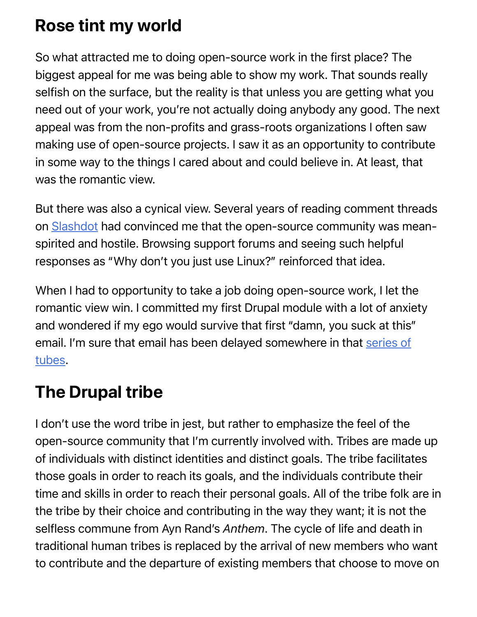## Rose tint my world

So what attracted me to doing open-source work in the first place? The biggest appeal for me was being able to show my work. That sounds really selfish on the surface, but the reality is that unless you are getting what you need out of your work, you're not actually doing anybody any good. The next appeal was from the non-profits and grass-roots organizations I often saw making use of open-source projects. I saw it as an opportunity to contribute in some way to the things I cared about and could believe in. At least, that was the romantic view.

But there was also a cynical view. Several years of reading comment threads on [Slashdot](http://slashdot.org/) had convinced me that the open-source community was meanspirited and hostile. Browsing support forums and seeing such helpful responses as "Why don't you just use Linux?" reinforced that idea.

When I had to opportunity to take a job doing open-source work, I let the romantic view win. I committed my first Drupal module with a lot of anxiety and wondered if my ego would survive that first "damn, you suck at this" [email. I'm sure that email has been delayed somewhere in that series of](http://sendmeaninternet.com/) tubes.

## The Drupal tribe

I don't use the word tribe in jest, but rather to emphasize the feel of the open-source community that I'm currently involved with. Tribes are made up of individuals with distinct identities and distinct goals. The tribe facilitates those goals in order to reach its goals, and the individuals contribute their time and skills in order to reach their personal goals. All of the tribe folk are in the tribe by their choice and contributing in the way they want; it is not the selfless commune from Ayn Rand's *Anthem*. The cycle of life and death in traditional human tribes is replaced by the arrival of new members who want to contribute and the departure of existing members that choose to move on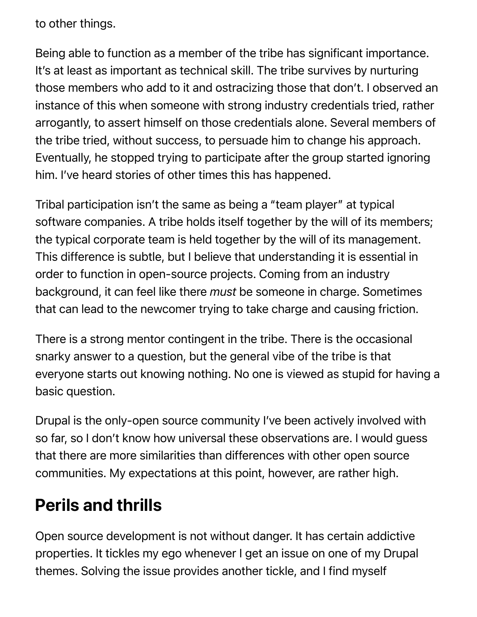to other things.

Being able to function as a member of the tribe has significant importance. It's at least as important as technical skill. The tribe survives by nurturing those members who add to it and ostracizing those that don't. I observed an instance of this when someone with strong industry credentials tried, rather arrogantly, to assert himself on those credentials alone. Several members of the tribe tried, without success, to persuade him to change his approach. Eventually, he stopped trying to participate after the group started ignoring him. I've heard stories of other times this has happened.

Tribal participation isn't the same as being a "team player" at typical software companies. A tribe holds itself together by the will of its members; the typical corporate team is held together by the will of its management. This difference is subtle, but I believe that understanding it is essential in order to function in open-source projects. Coming from an industry background, it can feel like there *must* be someone in charge. Sometimes that can lead to the newcomer trying to take charge and causing friction.

There is a strong mentor contingent in the tribe. There is the occasional snarky answer to a question, but the general vibe of the tribe is that everyone starts out knowing nothing. No one is viewed as stupid for having a basic question.

Drupal is the only-open source community I've been actively involved with so far, so I don't know how universal these observations are. I would guess that there are more similarities than differences with other open source communities. My expectations at this point, however, are rather high.

## Perils and thrills

Open source development is not without danger. It has certain addictive properties. It tickles my ego whenever I get an issue on one of my Drupal themes. Solving the issue provides another tickle, and I find myself